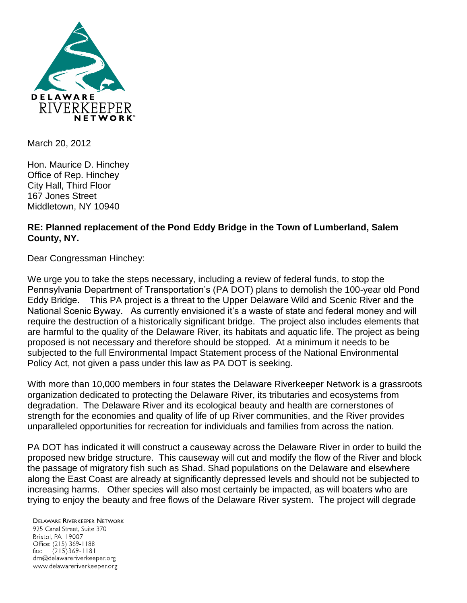

March 20, 2012

Hon. Maurice D. Hinchey Office of Rep. Hinchey City Hall, Third Floor 167 Jones Street Middletown, NY 10940

## **RE: Planned replacement of the Pond Eddy Bridge in the Town of Lumberland, Salem County, NY.**

Dear Congressman Hinchey:

We urge you to take the steps necessary, including a review of federal funds, to stop the Pennsylvania Department of Transportation's (PA DOT) plans to demolish the 100-year old Pond Eddy Bridge. This PA project is a threat to the Upper Delaware Wild and Scenic River and the National Scenic Byway. As currently envisioned it's a waste of state and federal money and will require the destruction of a historically significant bridge. The project also includes elements that are harmful to the quality of the Delaware River, its habitats and aquatic life. The project as being proposed is not necessary and therefore should be stopped. At a minimum it needs to be subjected to the full Environmental Impact Statement process of the National Environmental Policy Act, not given a pass under this law as PA DOT is seeking.

With more than 10,000 members in four states the Delaware Riverkeeper Network is a grassroots organization dedicated to protecting the Delaware River, its tributaries and ecosystems from degradation. The Delaware River and its ecological beauty and health are cornerstones of strength for the economies and quality of life of up River communities, and the River provides unparalleled opportunities for recreation for individuals and families from across the nation.

PA DOT has indicated it will construct a causeway across the Delaware River in order to build the proposed new bridge structure. This causeway will cut and modify the flow of the River and block the passage of migratory fish such as Shad. Shad populations on the Delaware and elsewhere along the East Coast are already at significantly depressed levels and should not be subjected to increasing harms. Other species will also most certainly be impacted, as will boaters who are trying to enjoy the beauty and free flows of the Delaware River system. The project will degrade

**DELAWARE RIVERKEEPER NETWORK** 925 Canal Street, Suite 3701 Bristol, PA 19007 Office: (215) 369-1188 fax:  $(215)369 - 1181$ drn@delawareriverkeeper.org www.delawareriverkeeper.org